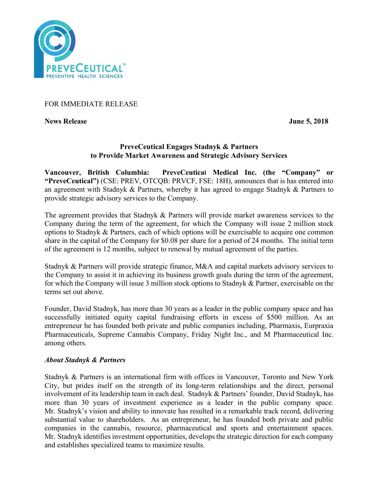

# FOR IMMEDIATE RELEASE

**News Release June 5, 2018**

# **PreveCeutical Engages Stadnyk & Partners to Provide Market Awareness and Strategic Advisory Services**

**Vancouver, British Columbia: PreveCeutical Medical Inc. (the "Company" or "PreveCeutical")** (CSE: PREV, OTCQB: PRVCF, FSE: 18H), announces that is has entered into an agreement with Stadnyk & Partners, whereby it has agreed to engage Stadnyk & Partners to provide strategic advisory services to the Company.

The agreement provides that Stadnyk & Partners will provide market awareness services to the Company during the term of the agreement, for which the Company will issue 2 million stock options to Stadnyk & Partners, each of which options will be exercisable to acquire one common share in the capital of the Company for \$0.08 per share for a period of 24 months. The initial term of the agreement is 12 months, subject to renewal by mutual agreement of the parties.

Stadnyk & Partners will provide strategic finance, M&A and capital markets advisory services to the Company to assist it in achieving its business growth goals during the term of the agreement, for which the Company will issue 3 million stock options to Stadnyk & Partner, exercisable on the terms set out above.

Founder, David Stadnyk, has more than 30 years as a leader in the public company space and has successfully initiated equity capital fundraising efforts in excess of \$500 million. As an entrepreneur he has founded both private and public companies including, Pharmaxis, Eurpraxia Pharmaceuticals, Supreme Cannabis Company, Friday Night Inc., and M Pharmaceutical Inc. among others.

# *About Stadnyk & Partners*

Stadnyk & Partners is an international firm with offices in Vancouver, Toronto and New York City, but prides itself on the strength of its long-term relationships and the direct, personal involvement of its leadership team in each deal. Stadnyk & Partners' founder, David Stadnyk, has more than 30 years of investment experience as a leader in the public company space. Mr. Stadnyk's vision and ability to innovate has resulted in a remarkable track record, delivering substantial value to shareholders. As an entrepreneur, he has founded both private and public companies in the cannabis, resource, pharmaceutical and sports and entertainment spaces. Mr. Stadnyk identifies investment opportunities, develops the strategic direction for each company and establishes specialized teams to maximize results.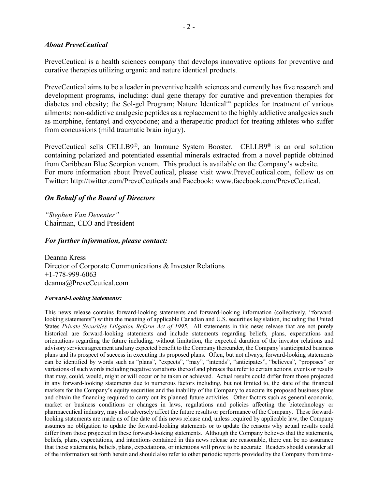### *About PreveCeutical*

PreveCeutical is a health sciences company that develops innovative options for preventive and curative therapies utilizing organic and nature identical products.

PreveCeutical aims to be a leader in preventive health sciences and currently has five research and development programs, including: dual gene therapy for curative and prevention therapies for diabetes and obesity; the Sol-gel Program; Nature Identical™ peptides for treatment of various ailments; non-addictive analgesic peptides as a replacement to the highly addictive analgesics such as morphine, fentanyl and oxycodone; and a therapeutic product for treating athletes who suffer from concussions (mild traumatic brain injury).

PreveCeutical sells CELLB9®, an Immune System Booster. CELLB9® is an oral solution containing polarized and potentiated essential minerals extracted from a novel peptide obtained from Caribbean Blue Scorpion venom. This product is available on the Company's website. For more information about PreveCeutical, please visit www.PreveCeutical.com, follow us on Twitter: http://twitter.com/PreveCeuticals and Facebook: www.facebook.com/PreveCeutical.

### *On Behalf of the Board of Directors*

*"Stephen Van Deventer"* Chairman, CEO and President

#### *For further information, please contact:*

Deanna Kress Director of Corporate Communications & Investor Relations +1-778-999-6063 deanna@PreveCeutical.com

#### *Forward-Looking Statements:*

This news release contains forward-looking statements and forward-looking information (collectively, "forwardlooking statements") within the meaning of applicable Canadian and U.S. securities legislation, including the United States *Private Securities Litigation Reform Act of 1995*. All statements in this news release that are not purely historical are forward-looking statements and include statements regarding beliefs, plans, expectations and orientations regarding the future including, without limitation, the expected duration of the investor relations and advisory services agreement and any expected benefit to the Company thereunder, the Company's anticipated business plans and its prospect of success in executing its proposed plans. Often, but not always, forward-looking statements can be identified by words such as "plans", "expects", "may", "intends", "anticipates", "believes", "proposes" or variations of such words including negative variations thereof and phrases that refer to certain actions, events or results that may, could, would, might or will occur or be taken or achieved. Actual results could differ from those projected in any forward-looking statements due to numerous factors including, but not limited to, the state of the financial markets for the Company's equity securities and the inability of the Company to execute its proposed business plans and obtain the financing required to carry out its planned future activities. Other factors such as general economic, market or business conditions or changes in laws, regulations and policies affecting the biotechnology or pharmaceutical industry, may also adversely affect the future results or performance of the Company. These forwardlooking statements are made as of the date of this news release and, unless required by applicable law, the Company assumes no obligation to update the forward-looking statements or to update the reasons why actual results could differ from those projected in these forward-looking statements. Although the Company believes that the statements, beliefs, plans, expectations, and intentions contained in this news release are reasonable, there can be no assurance that those statements, beliefs, plans, expectations, or intentions will prove to be accurate. Readers should consider all of the information set forth herein and should also refer to other periodic reports provided by the Company from time-